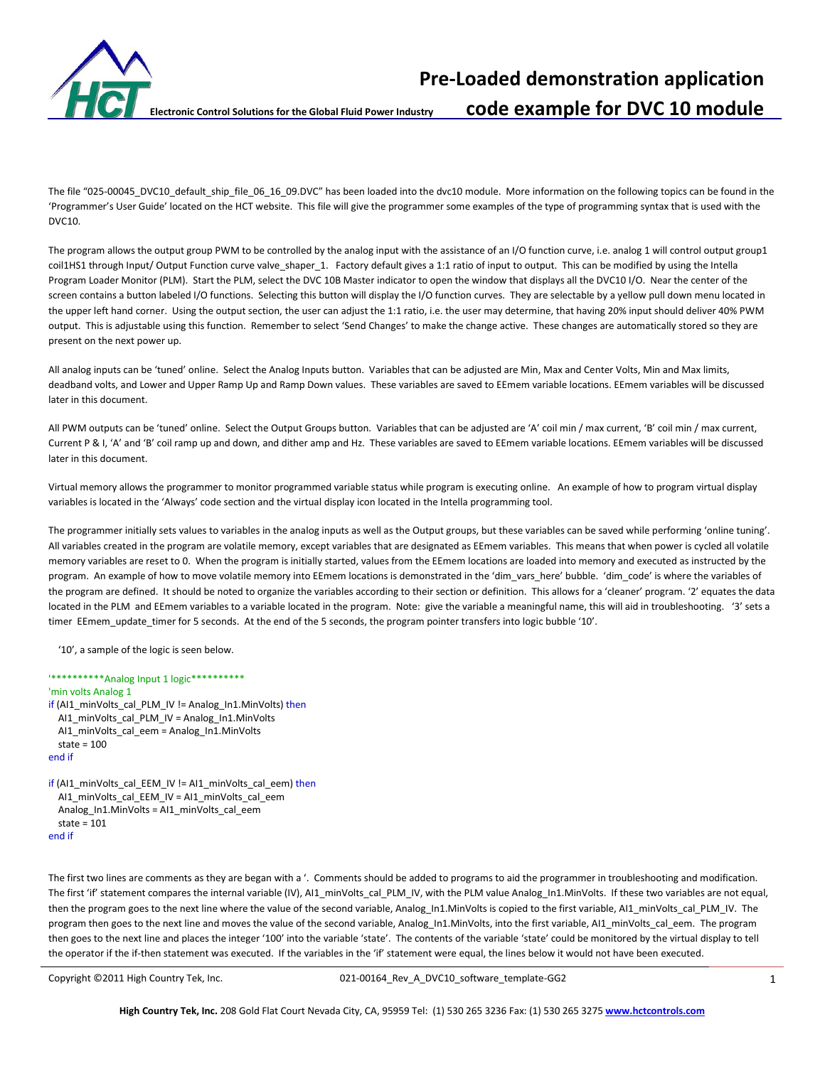

**Pre-Loaded demonstration application Electronic Control Solutions for the Global Fluid Power Industry code example for DVC 10 module**

The file "025-00045\_DVC10\_default\_ship\_file\_06\_16\_09.DVC" has been loaded into the dvc10 module. More information on the following topics can be found in the 'Programmer's User Guide' located on the HCT website. This file will give the programmer some examples of the type of programming syntax that is used with the DVC10.

The program allows the output group PWM to be controlled by the analog input with the assistance of an I/O function curve, i.e. analog 1 will control output group1 coil1HS1 through Input/ Output Function curve valve\_shaper\_1. Factory default gives a 1:1 ratio of input to output. This can be modified by using the Intella Program Loader Monitor (PLM). Start the PLM, select the DVC 10B Master indicator to open the window that displays all the DVC10 I/O. Near the center of the screen contains a button labeled I/O functions. Selecting this button will display the I/O function curves. They are selectable by a yellow pull down menu located in the upper left hand corner. Using the output section, the user can adjust the 1:1 ratio, i.e. the user may determine, that having 20% input should deliver 40% PWM output. This is adjustable using this function. Remember to select 'Send Changes' to make the change active. These changes are automatically stored so they are present on the next power up.

All analog inputs can be 'tuned' online. Select the Analog Inputs button. Variables that can be adjusted are Min, Max and Center Volts, Min and Max limits, deadband volts, and Lower and Upper Ramp Up and Ramp Down values. These variables are saved to EEmem variable locations. EEmem variables will be discussed later in this document.

All PWM outputs can be 'tuned' online. Select the Output Groups button. Variables that can be adjusted are 'A' coil min / max current, 'B' coil min / max current, Current P & I, 'A' and 'B' coil ramp up and down, and dither amp and Hz. These variables are saved to EEmem variable locations. EEmem variables will be discussed later in this document.

Virtual memory allows the programmer to monitor programmed variable status while program is executing online. An example of how to program virtual display variables is located in the 'Always' code section and the virtual display icon located in the Intella programming tool.

The programmer initially sets values to variables in the analog inputs as well as the Output groups, but these variables can be saved while performing 'online tuning'. All variables created in the program are volatile memory, except variables that are designated as EEmem variables. This means that when power is cycled all volatile memory variables are reset to 0. When the program is initially started, values from the EEmem locations are loaded into memory and executed as instructed by the program. An example of how to move volatile memory into EEmem locations is demonstrated in the 'dim vars here' bubble. 'dim code' is where the variables of the program are defined. It should be noted to organize the variables according to their section or definition. This allows for a 'cleaner' program. '2' equates the data located in the PLM and EEmem variables to a variable located in the program. Note: give the variable a meaningful name, this will aid in troubleshooting. '3' sets a timer EEmem\_update\_timer for 5 seconds. At the end of the 5 seconds, the program pointer transfers into logic bubble '10'.

'10', a sample of the logic is seen below.

```
'**********Analog Input 1 logic**********
'min volts Analog 1
if (AI1_minVolts_cal_PLM_IV != Analog_In1.MinVolts) then
   AI1_minVolts_cal_PLM_IV = Analog_In1.MinVolts
   AI1_minVolts_cal_eem = Analog_In1.MinVolts
  state = 100end if
if (AI1_minVolts_cal_EEM_IV != AI1_minVolts_cal_eem) then
   AI1_minVolts_cal_EEM_IV = AI1_minVolts_cal_eem
  Analog_In1.MinVolts = AI1_minVolts_cal_eem
   state = 101
```
end if

The first two lines are comments as they are began with a '. Comments should be added to programs to aid the programmer in troubleshooting and modification. The first 'if' statement compares the internal variable (IV), AI1\_minVolts\_cal\_PLM\_IV, with the PLM value Analog\_In1.MinVolts. If these two variables are not equal, then the program goes to the next line where the value of the second variable, Analog\_In1.MinVolts is copied to the first variable, AI1\_minVolts\_cal\_PLM\_IV. The program then goes to the next line and moves the value of the second variable, Analog\_In1.MinVolts, into the first variable, AI1\_minVolts\_cal\_eem. The program then goes to the next line and places the integer '100' into the variable 'state'. The contents of the variable 'state' could be monitored by the virtual display to tell the operator if the if-then statement was executed. If the variables in the 'if' statement were equal, the lines below it would not have been executed.